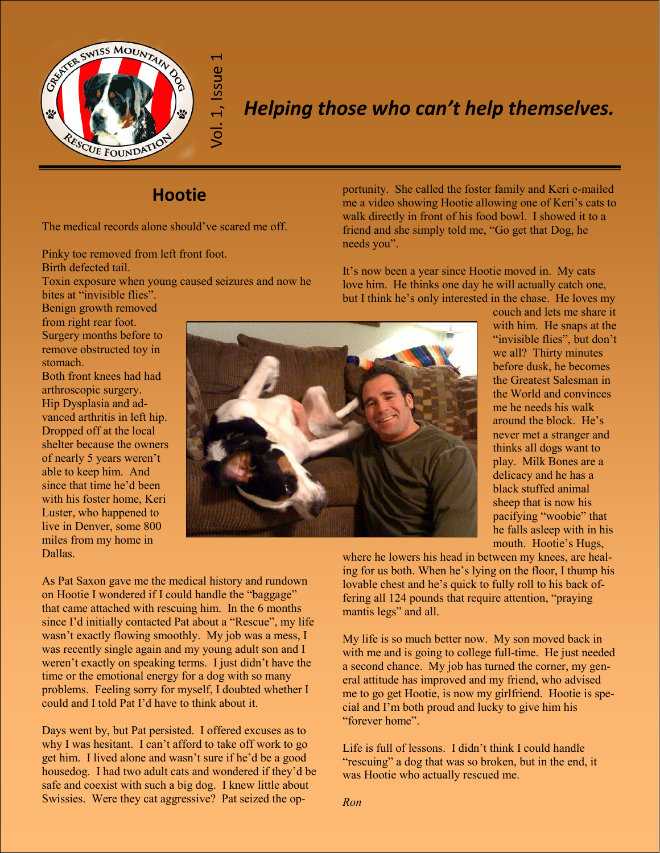

### *Helping those who can't help themselves.*

### **Hootie**

The medical records alone should've scared me off.

Pinky toe removed from left front foot. Birth defected tail.

Toxin exposure when young caused seizures and now he bites at "invisible flies".

Benign growth removed from right rear foot. Surgery months before to remove obstructed toy in stomach.

Both front knees had had arthroscopic surgery. Hip Dysplasia and advanced arthritis in left hip. Dropped off at the local shelter because the owners of nearly 5 years weren't able to keep him. And since that time he'd been with his foster home, Keri Luster, who happened to live in Denver, some 800 miles from my home in Dallas.



portunity. She called the foster family and Keri e-mailed me a video showing Hootie allowing one of Keri's cats to walk directly in front of his food bowl. I showed it to a friend and she simply told me, "Go get that Dog, he needs you".

It's now been a year since Hootie moved in. My cats love him. He thinks one day he will actually catch one, but I think he's only interested in the chase. He loves my

> couch and lets me share it with him. He snaps at the "invisible flies", but don't we all? Thirty minutes before dusk, he becomes the Greatest Salesman in the World and convinces me he needs his walk around the block. He's never met a stranger and thinks all dogs want to play. Milk Bones are a delicacy and he has a black stuffed animal sheep that is now his pacifying "woobie" that he falls asleep with in his mouth. Hootie's Hugs,

As Pat Saxon gave me the medical history and rundown on Hootie I wondered if I could handle the "baggage" that came attached with rescuing him. In the 6 months since I'd initially contacted Pat about a "Rescue", my life wasn't exactly flowing smoothly. My job was a mess, I was recently single again and my young adult son and I weren't exactly on speaking terms. I just didn't have the time or the emotional energy for a dog with so many problems. Feeling sorry for myself, I doubted whether I could and I told Pat I'd have to think about it.

Days went by, but Pat persisted. I offered excuses as to why I was hesitant. I can't afford to take off work to go get him. I lived alone and wasn't sure if he'd be a good housedog. I had two adult cats and wondered if they'd be safe and coexist with such a big dog. I knew little about Swissies. Were they cat aggressive? Pat seized the opwhere he lowers his head in between my knees, are healing for us both. When he's lying on the floor, I thump his lovable chest and he's quick to fully roll to his back offering all 124 pounds that require attention, "praying mantis legs" and all.

My life is so much better now. My son moved back in with me and is going to college full-time. He just needed a second chance. My job has turned the corner, my general attitude has improved and my friend, who advised me to go get Hootie, is now my girlfriend. Hootie is special and I'm both proud and lucky to give him his "forever home".

Life is full of lessons. I didn't think I could handle "rescuing" a dog that was so broken, but in the end, it was Hootie who actually rescued me.

*Ron*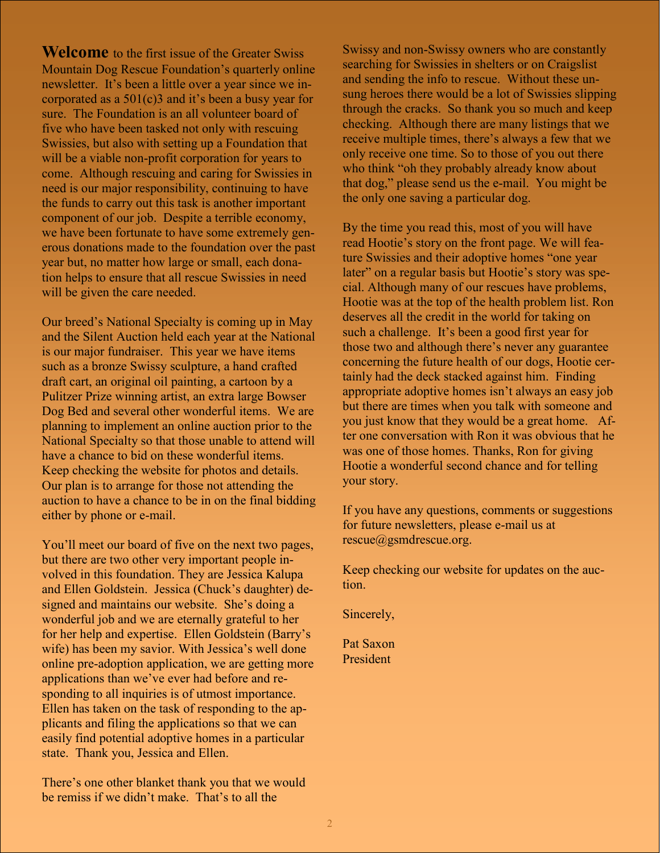**Welcome** to the first issue of the Greater Swiss Mountain Dog Rescue Foundation's quarterly online newsletter. It's been a little over a year since we incorporated as a  $501(c)3$  and it's been a busy year for sure. The Foundation is an all volunteer board of five who have been tasked not only with rescuing Swissies, but also with setting up a Foundation that will be a viable non-profit corporation for years to come. Although rescuing and caring for Swissies in need is our major responsibility, continuing to have the funds to carry out this task is another important component of our job. Despite a terrible economy, we have been fortunate to have some extremely generous donations made to the foundation over the past year but, no matter how large or small, each donation helps to ensure that all rescue Swissies in need will be given the care needed.

Our breed's National Specialty is coming up in May and the Silent Auction held each year at the National is our major fundraiser. This year we have items such as a bronze Swissy sculpture, a hand crafted draft cart, an original oil painting, a cartoon by a Pulitzer Prize winning artist, an extra large Bowser Dog Bed and several other wonderful items. We are planning to implement an online auction prior to the National Specialty so that those unable to attend will have a chance to bid on these wonderful items. Keep checking the website for photos and details. Our plan is to arrange for those not attending the auction to have a chance to be in on the final bidding either by phone or e-mail.

You'll meet our board of five on the next two pages, but there are two other very important people involved in this foundation. They are Jessica Kalupa and Ellen Goldstein. Jessica (Chuck's daughter) designed and maintains our website. She's doing a wonderful job and we are eternally grateful to her for her help and expertise. Ellen Goldstein (Barry's wife) has been my savior. With Jessica's well done online pre-adoption application, we are getting more applications than we've ever had before and responding to all inquiries is of utmost importance. Ellen has taken on the task of responding to the applicants and filing the applications so that we can easily find potential adoptive homes in a particular state. Thank you, Jessica and Ellen.

There's one other blanket thank you that we would be remiss if we didn't make. That's to all the

Swissy and non-Swissy owners who are constantly searching for Swissies in shelters or on Craigslist and sending the info to rescue. Without these unsung heroes there would be a lot of Swissies slipping through the cracks. So thank you so much and keep checking. Although there are many listings that we receive multiple times, there's always a few that we only receive one time. So to those of you out there who think "oh they probably already know about that dog," please send us the e-mail. You might be the only one saving a particular dog.

By the time you read this, most of you will have read Hootie's story on the front page. We will feature Swissies and their adoptive homes "one year later" on a regular basis but Hootie's story was special. Although many of our rescues have problems, Hootie was at the top of the health problem list. Ron deserves all the credit in the world for taking on such a challenge. It's been a good first year for those two and although there's never any guarantee concerning the future health of our dogs, Hootie certainly had the deck stacked against him. Finding appropriate adoptive homes isn't always an easy job but there are times when you talk with someone and you just know that they would be a great home. After one conversation with Ron it was obvious that he was one of those homes. Thanks, Ron for giving Hootie a wonderful second chance and for telling your story.

If you have any questions, comments or suggestions for future newsletters, please e-mail us at rescue@gsmdrescue.org.

Keep checking our website for updates on the auction.

Sincerely,

Pat Saxon President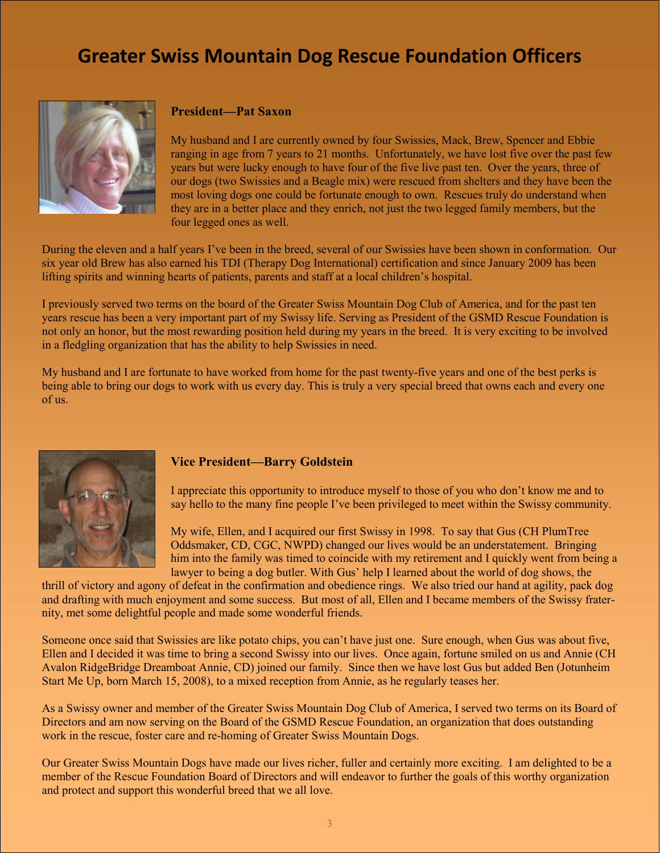# **Greater Swiss Mountain Dog Rescue Foundation Officers**



#### **President—Pat Saxon**

My husband and I are currently owned by four Swissies, Mack, Brew, Spencer and Ebbie ranging in age from 7 years to 21 months. Unfortunately, we have lost five over the past few years but were lucky enough to have four of the five live past ten. Over the years, three of our dogs (two Swissies and a Beagle mix) were rescued from shelters and they have been the most loving dogs one could be fortunate enough to own. Rescues truly do understand when they are in a better place and they enrich, not just the two legged family members, but the four legged ones as well.

During the eleven and a half years I've been in the breed, several of our Swissies have been shown in conformation. Our six year old Brew has also earned his TDI (Therapy Dog International) certification and since January 2009 has been lifting spirits and winning hearts of patients, parents and staff at a local children's hospital.

I previously served two terms on the board of the Greater Swiss Mountain Dog Club of America, and for the past ten years rescue has been a very important part of my Swissy life. Serving as President of the GSMD Rescue Foundation is not only an honor, but the most rewarding position held during my years in the breed. It is very exciting to be involved in a fledgling organization that has the ability to help Swissies in need.

My husband and I are fortunate to have worked from home for the past twenty-five years and one of the best perks is being able to bring our dogs to work with us every day. This is truly a very special breed that owns each and every one of us.



#### **Vice President—Barry Goldstein**

I appreciate this opportunity to introduce myself to those of you who don't know me and to say hello to the many fine people I've been privileged to meet within the Swissy community.

My wife, Ellen, and I acquired our first Swissy in 1998. To say that Gus (CH PlumTree Oddsmaker, CD, CGC, NWPD) changed our lives would be an understatement. Bringing him into the family was timed to coincide with my retirement and I quickly went from being a lawyer to being a dog butler. With Gus' help I learned about the world of dog shows, the

thrill of victory and agony of defeat in the confirmation and obedience rings. We also tried our hand at agility, pack dog and drafting with much enjoyment and some success. But most of all, Ellen and I became members of the Swissy fraternity, met some delightful people and made some wonderful friends.

Someone once said that Swissies are like potato chips, you can't have just one. Sure enough, when Gus was about five, Ellen and I decided it was time to bring a second Swissy into our lives. Once again, fortune smiled on us and Annie (CH Avalon RidgeBridge Dreamboat Annie, CD) joined our family. Since then we have lost Gus but added Ben (Jotunheim Start Me Up, born March 15, 2008), to a mixed reception from Annie, as he regularly teases her.

As a Swissy owner and member of the Greater Swiss Mountain Dog Club of America, I served two terms on its Board of Directors and am now serving on the Board of the GSMD Rescue Foundation, an organization that does outstanding work in the rescue, foster care and re-homing of Greater Swiss Mountain Dogs.

Our Greater Swiss Mountain Dogs have made our lives richer, fuller and certainly more exciting. I am delighted to be a member of the Rescue Foundation Board of Directors and will endeavor to further the goals of this worthy organization and protect and support this wonderful breed that we all love.